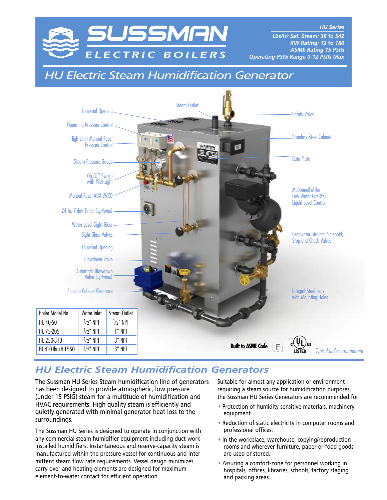

*HU Series \_\_\_\_\_\_\_\_\_\_\_\_\_\_\_\_\_\_\_\_\_\_\_\_\_\_\_ Lbs/Hr Sat. Steam: 36 to 542 KW Rating: 12 to 180 ASME Rating 15 PSIG Operating PSIG Range 0-12 PSIG Max*

# *HU Electric Steam Humidification Generator*



## *HU Electric Steam Humidification Generators*

The Sussman HU Series Steam humidification line of generators has been designed to provide atmospheric, low pressure (under 15 PSIG) steam for a multitude of humidification and HVAC requirements. High quality steam is efficiently and quietly generated with minimal generator heat loss to the surroundings.

The Sussman HU Series is designed to operate in conjunction with any commercial steam humidifier equipment including duct-work installed humidifiers. Instantaneous and reserve-capacity steam is manufactured within the pressure vessel for continuous and intermittent steam flow rate requirements. Vessel design minimizes carry-over and heating elements are designed for maximum element-to-water contact for efficient operation.

Suitable for almost any application or environment requiring a steam source for humidification purposes, the Sussman HU Series Generators are recommended for:

- Protection of humidity-sensitive materials, machinery equipment
- Reduction of static electricity in computer rooms and professional offices.
- In the workplace, warehouse, copying/reproduction rooms and wherever furniture, paper or food goods are used or stored.
- Assuring a comfort-zone for personnel working in hospitals, offices, libraries, schools, factory staging and packing areas.